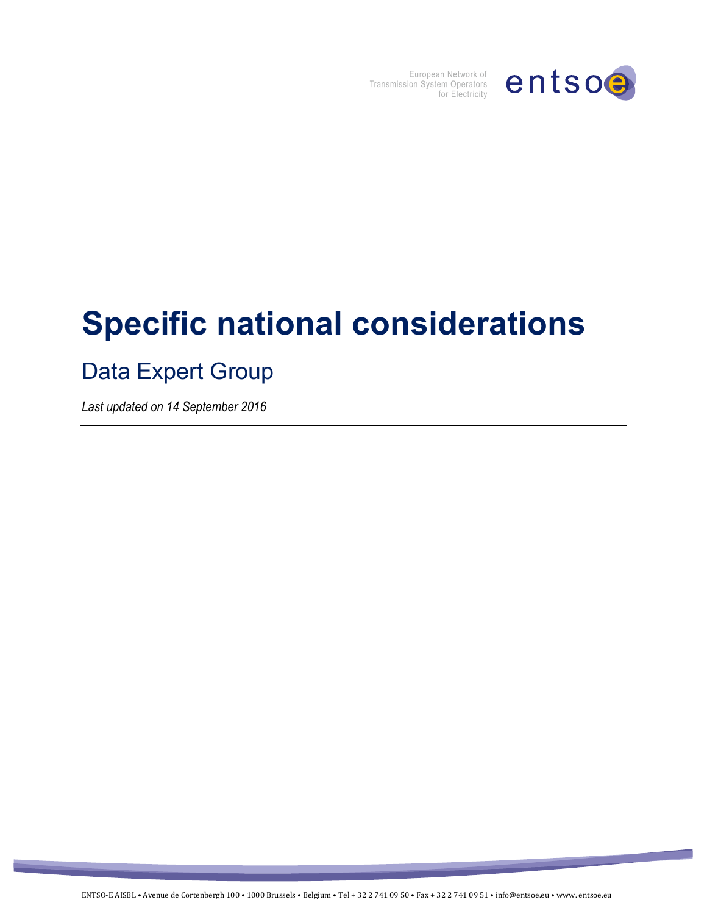

European Network of<br>Transmission System Operators<br>for Electricity

# **Specific national considerations**

# Data Expert Group

*Last updated on 14 September 2016*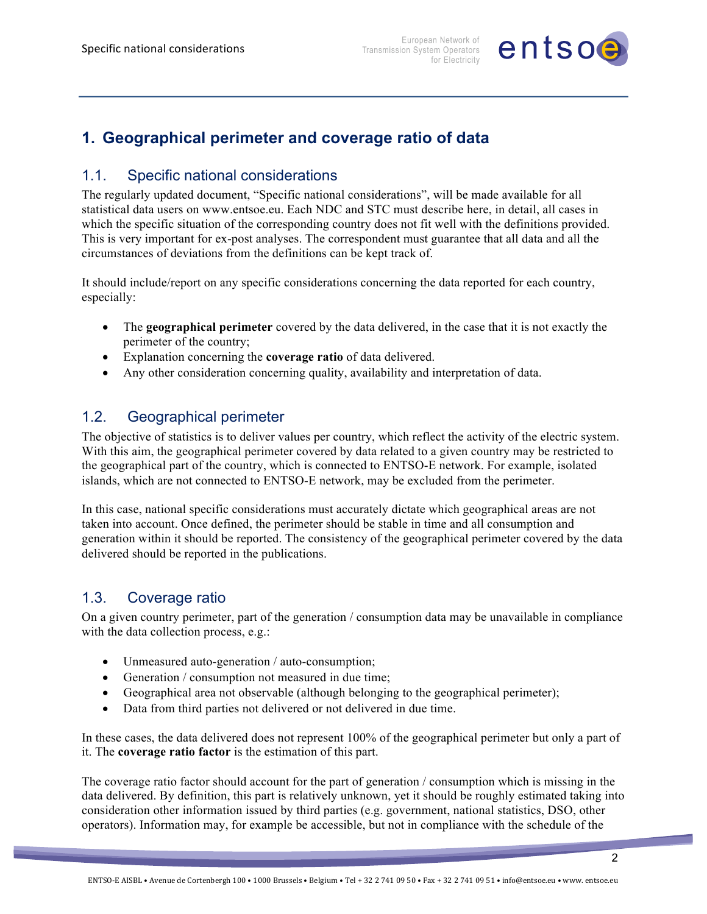

## **1. Geographical perimeter and coverage ratio of data**

#### 1.1. Specific national considerations

The regularly updated document, "Specific national considerations", will be made available for all statistical data users on www.entsoe.eu. Each NDC and STC must describe here, in detail, all cases in which the specific situation of the corresponding country does not fit well with the definitions provided. This is very important for ex-post analyses. The correspondent must guarantee that all data and all the circumstances of deviations from the definitions can be kept track of.

It should include/report on any specific considerations concerning the data reported for each country, especially:

- The **geographical perimeter** covered by the data delivered, in the case that it is not exactly the perimeter of the country;
- Explanation concerning the **coverage ratio** of data delivered.
- Any other consideration concerning quality, availability and interpretation of data.

#### 1.2. Geographical perimeter

The objective of statistics is to deliver values per country, which reflect the activity of the electric system. With this aim, the geographical perimeter covered by data related to a given country may be restricted to the geographical part of the country, which is connected to ENTSO-E network. For example, isolated islands, which are not connected to ENTSO-E network, may be excluded from the perimeter.

In this case, national specific considerations must accurately dictate which geographical areas are not taken into account. Once defined, the perimeter should be stable in time and all consumption and generation within it should be reported. The consistency of the geographical perimeter covered by the data delivered should be reported in the publications.

#### 1.3. Coverage ratio

On a given country perimeter, part of the generation / consumption data may be unavailable in compliance with the data collection process, e.g.:

- Unmeasured auto-generation / auto-consumption;
- Generation / consumption not measured in due time;
- Geographical area not observable (although belonging to the geographical perimeter);
- Data from third parties not delivered or not delivered in due time.

In these cases, the data delivered does not represent 100% of the geographical perimeter but only a part of it. The **coverage ratio factor** is the estimation of this part.

The coverage ratio factor should account for the part of generation / consumption which is missing in the data delivered. By definition, this part is relatively unknown, yet it should be roughly estimated taking into consideration other information issued by third parties (e.g. government, national statistics, DSO, other operators). Information may, for example be accessible, but not in compliance with the schedule of the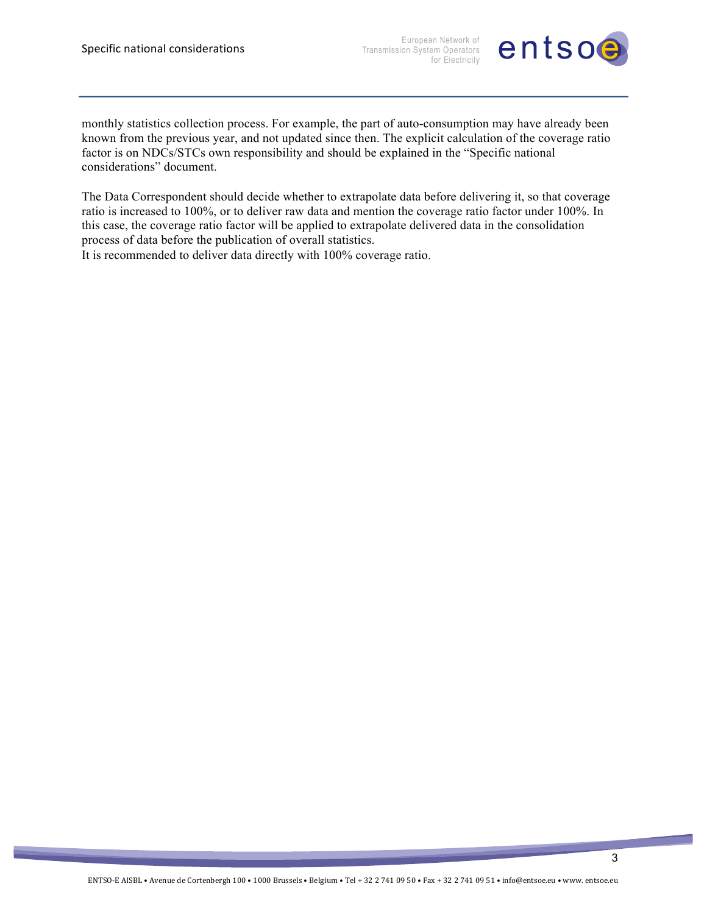European Network of Transmission System Operators for Electricity



monthly statistics collection process. For example, the part of auto-consumption may have already been known from the previous year, and not updated since then. The explicit calculation of the coverage ratio factor is on NDCs/STCs own responsibility and should be explained in the "Specific national considerations" document.

The Data Correspondent should decide whether to extrapolate data before delivering it, so that coverage ratio is increased to 100%, or to deliver raw data and mention the coverage ratio factor under 100%. In this case, the coverage ratio factor will be applied to extrapolate delivered data in the consolidation process of data before the publication of overall statistics.

It is recommended to deliver data directly with 100% coverage ratio.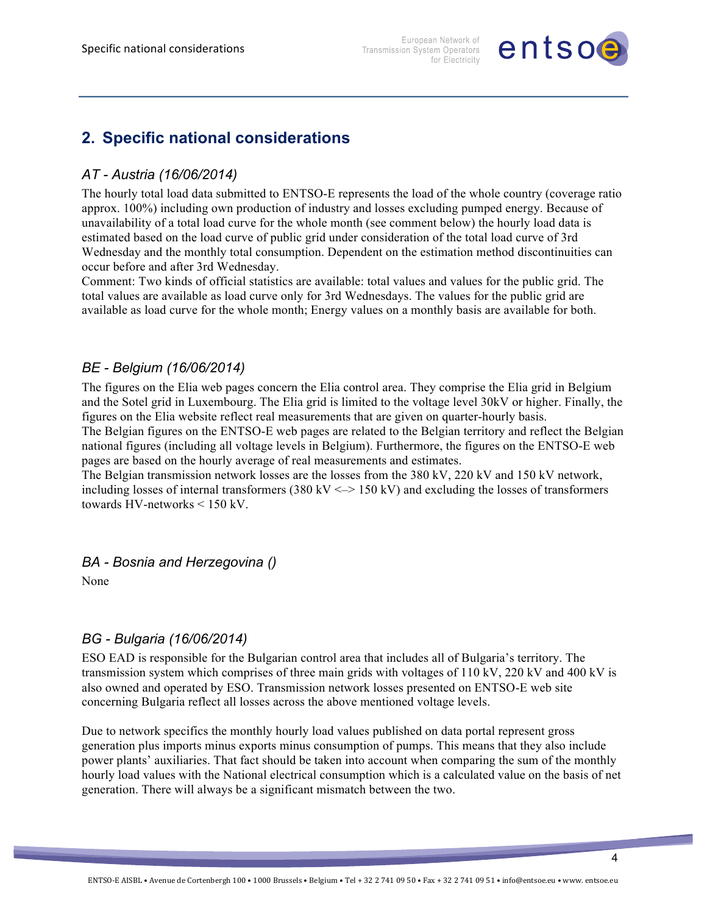

### **2. Specific national considerations**

#### *AT - Austria (16/06/2014)*

The hourly total load data submitted to ENTSO-E represents the load of the whole country (coverage ratio approx. 100%) including own production of industry and losses excluding pumped energy. Because of unavailability of a total load curve for the whole month (see comment below) the hourly load data is estimated based on the load curve of public grid under consideration of the total load curve of 3rd Wednesday and the monthly total consumption. Dependent on the estimation method discontinuities can occur before and after 3rd Wednesday.

Comment: Two kinds of official statistics are available: total values and values for the public grid. The total values are available as load curve only for 3rd Wednesdays. The values for the public grid are available as load curve for the whole month; Energy values on a monthly basis are available for both.

#### *BE - Belgium (16/06/2014)*

The figures on the Elia web pages concern the Elia control area. They comprise the Elia grid in Belgium and the Sotel grid in Luxembourg. The Elia grid is limited to the voltage level 30kV or higher. Finally, the figures on the Elia website reflect real measurements that are given on quarter-hourly basis. The Belgian figures on the ENTSO-E web pages are related to the Belgian territory and reflect the Belgian national figures (including all voltage levels in Belgium). Furthermore, the figures on the ENTSO-E web pages are based on the hourly average of real measurements and estimates.

The Belgian transmission network losses are the losses from the 380 kV, 220 kV and 150 kV network, including losses of internal transformers (380 kV  $\le$  > 150 kV) and excluding the losses of transformers towards HV-networks < 150 kV.

#### *BA - Bosnia and Herzegovina ()*

None

#### *BG - Bulgaria (16/06/2014)*

ESO EAD is responsible for the Bulgarian control area that includes all of Bulgaria's territory. The transmission system which comprises of three main grids with voltages of 110 kV, 220 kV and 400 kV is also owned and operated by ESO. Transmission network losses presented on ENTSO-E web site concerning Bulgaria reflect all losses across the above mentioned voltage levels.

Due to network specifics the monthly hourly load values published on data portal represent gross generation plus imports minus exports minus consumption of pumps. This means that they also include power plants' auxiliaries. That fact should be taken into account when comparing the sum of the monthly hourly load values with the National electrical consumption which is a calculated value on the basis of net generation. There will always be a significant mismatch between the two.

4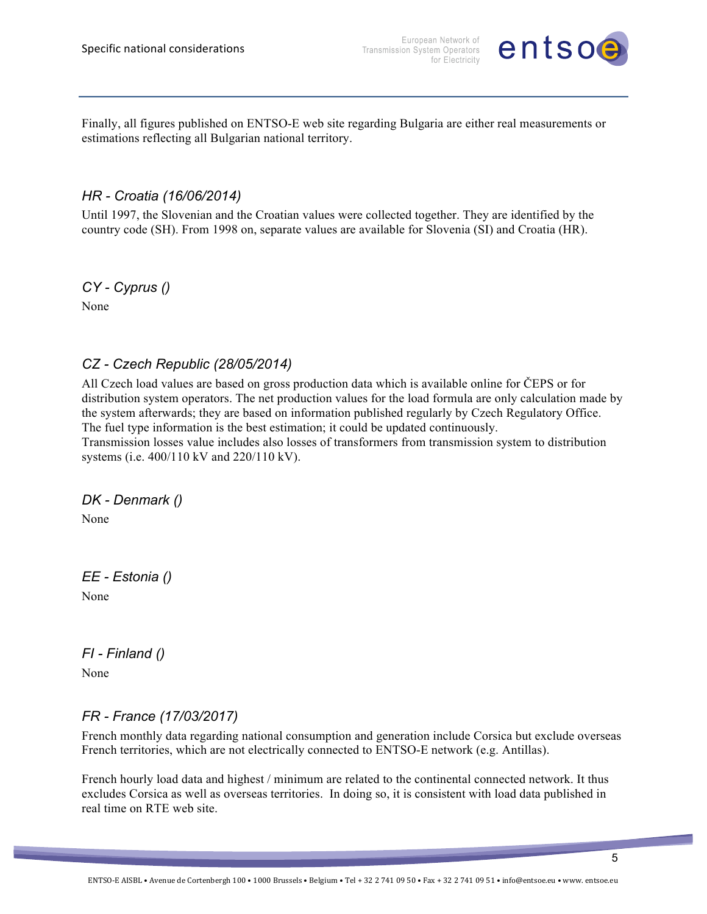

Finally, all figures published on ENTSO-E web site regarding Bulgaria are either real measurements or estimations reflecting all Bulgarian national territory.

#### *HR - Croatia (16/06/2014)*

Until 1997, the Slovenian and the Croatian values were collected together. They are identified by the country code (SH). From 1998 on, separate values are available for Slovenia (SI) and Croatia (HR).

*CY - Cyprus ()*

None

#### *CZ - Czech Republic (28/05/2014)*

All Czech load values are based on gross production data which is available online for ČEPS or for distribution system operators. The net production values for the load formula are only calculation made by the system afterwards; they are based on information published regularly by Czech Regulatory Office. The fuel type information is the best estimation; it could be updated continuously.

Transmission losses value includes also losses of transformers from transmission system to distribution systems (i.e. 400/110 kV and 220/110 kV).

*DK - Denmark ()*

None

*EE - Estonia ()* None

*FI - Finland ()*

None

#### *FR - France (17/03/2017)*

French monthly data regarding national consumption and generation include Corsica but exclude overseas French territories, which are not electrically connected to ENTSO-E network (e.g. Antillas).

French hourly load data and highest / minimum are related to the continental connected network. It thus excludes Corsica as well as overseas territories. In doing so, it is consistent with load data published in real time on RTE web site.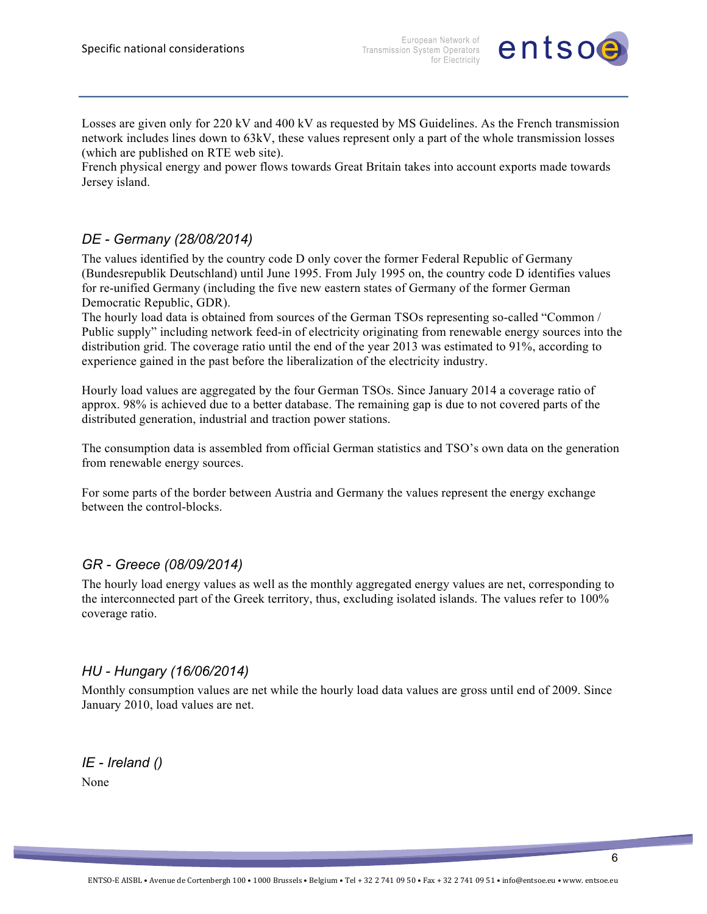

Losses are given only for 220 kV and 400 kV as requested by MS Guidelines. As the French transmission network includes lines down to 63kV, these values represent only a part of the whole transmission losses (which are published on RTE web site).

French physical energy and power flows towards Great Britain takes into account exports made towards Jersey island.

#### *DE - Germany (28/08/2014)*

The values identified by the country code D only cover the former Federal Republic of Germany (Bundesrepublik Deutschland) until June 1995. From July 1995 on, the country code D identifies values for re-unified Germany (including the five new eastern states of Germany of the former German Democratic Republic, GDR).

The hourly load data is obtained from sources of the German TSOs representing so-called "Common / Public supply" including network feed-in of electricity originating from renewable energy sources into the distribution grid. The coverage ratio until the end of the year 2013 was estimated to 91%, according to experience gained in the past before the liberalization of the electricity industry.

Hourly load values are aggregated by the four German TSOs. Since January 2014 a coverage ratio of approx. 98% is achieved due to a better database. The remaining gap is due to not covered parts of the distributed generation, industrial and traction power stations.

The consumption data is assembled from official German statistics and TSO's own data on the generation from renewable energy sources.

For some parts of the border between Austria and Germany the values represent the energy exchange between the control-blocks.

#### *GR - Greece (08/09/2014)*

The hourly load energy values as well as the monthly aggregated energy values are net, corresponding to the interconnected part of the Greek territory, thus, excluding isolated islands. The values refer to 100% coverage ratio.

#### *HU - Hungary (16/06/2014)*

Monthly consumption values are net while the hourly load data values are gross until end of 2009. Since January 2010, load values are net.

*IE - Ireland ()* None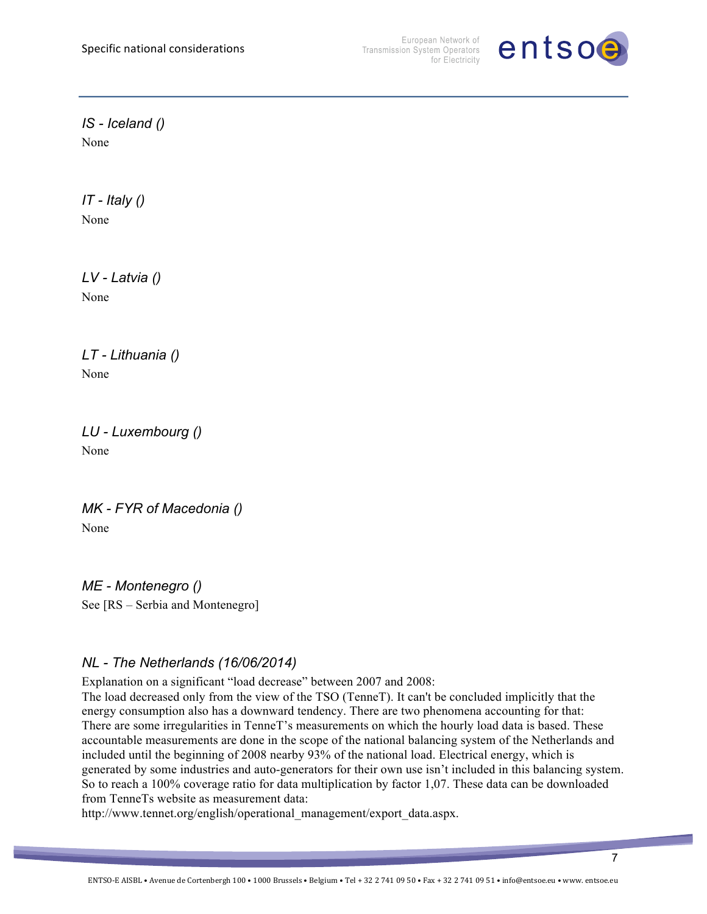

*IS - Iceland ()* None

*IT - Italy ()* None

*LV - Latvia ()* None

*LT - Lithuania ()* None

*LU - Luxembourg ()* None

```
MK - FYR of Macedonia ()
None
```
*ME - Montenegro ()* See [RS – Serbia and Montenegro]

#### *NL - The Netherlands (16/06/2014)*

Explanation on a significant "load decrease" between 2007 and 2008:

The load decreased only from the view of the TSO (TenneT). It can't be concluded implicitly that the energy consumption also has a downward tendency. There are two phenomena accounting for that: There are some irregularities in TenneT's measurements on which the hourly load data is based. These accountable measurements are done in the scope of the national balancing system of the Netherlands and included until the beginning of 2008 nearby 93% of the national load. Electrical energy, which is generated by some industries and auto-generators for their own use isn't included in this balancing system. So to reach a 100% coverage ratio for data multiplication by factor 1,07. These data can be downloaded from TenneTs website as measurement data:

http://www.tennet.org/english/operational\_management/export\_data.aspx.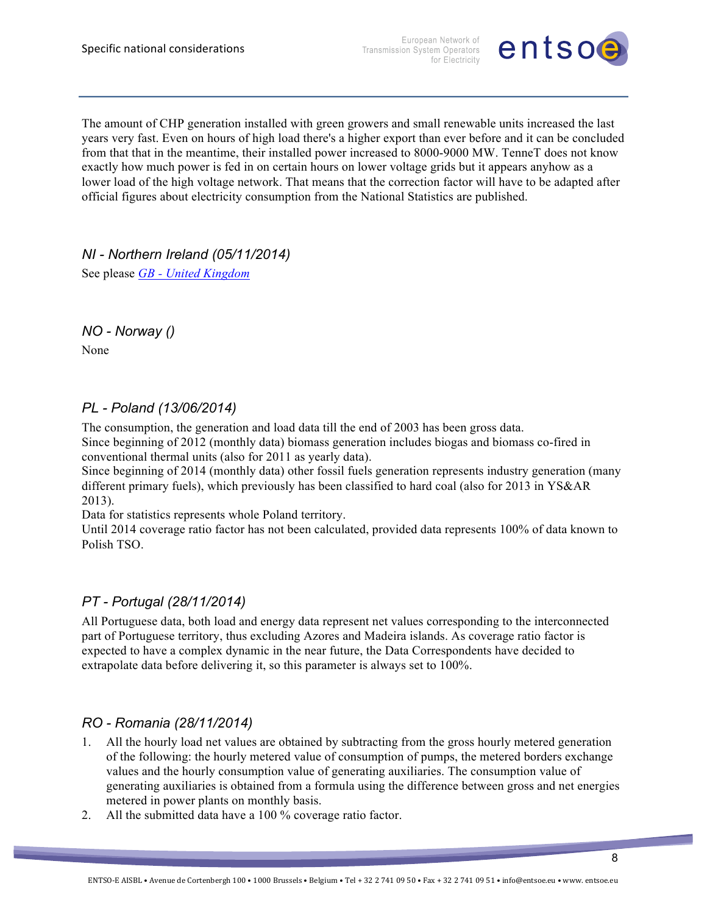European Network of Transmission System Operators for Electricity



The amount of CHP generation installed with green growers and small renewable units increased the last years very fast. Even on hours of high load there's a higher export than ever before and it can be concluded from that that in the meantime, their installed power increased to 8000-9000 MW. TenneT does not know exactly how much power is fed in on certain hours on lower voltage grids but it appears anyhow as a lower load of the high voltage network. That means that the correction factor will have to be adapted after official figures about electricity consumption from the National Statistics are published.

*NI - Northern Ireland (05/11/2014)*

See please *GB - United Kingdom*

*NO - Norway ()*

None

#### *PL - Poland (13/06/2014)*

The consumption, the generation and load data till the end of 2003 has been gross data. Since beginning of 2012 (monthly data) biomass generation includes biogas and biomass co-fired in conventional thermal units (also for 2011 as yearly data).

Since beginning of 2014 (monthly data) other fossil fuels generation represents industry generation (many different primary fuels), which previously has been classified to hard coal (also for 2013 in YS&AR 2013).

Data for statistics represents whole Poland territory.

Until 2014 coverage ratio factor has not been calculated, provided data represents 100% of data known to Polish TSO.

#### *PT - Portugal (28/11/2014)*

All Portuguese data, both load and energy data represent net values corresponding to the interconnected part of Portuguese territory, thus excluding Azores and Madeira islands. As coverage ratio factor is expected to have a complex dynamic in the near future, the Data Correspondents have decided to extrapolate data before delivering it, so this parameter is always set to 100%.

#### *RO - Romania (28/11/2014)*

- 1. All the hourly load net values are obtained by subtracting from the gross hourly metered generation of the following: the hourly metered value of consumption of pumps, the metered borders exchange values and the hourly consumption value of generating auxiliaries. The consumption value of generating auxiliaries is obtained from a formula using the difference between gross and net energies metered in power plants on monthly basis.
- 2. All the submitted data have a 100 % coverage ratio factor.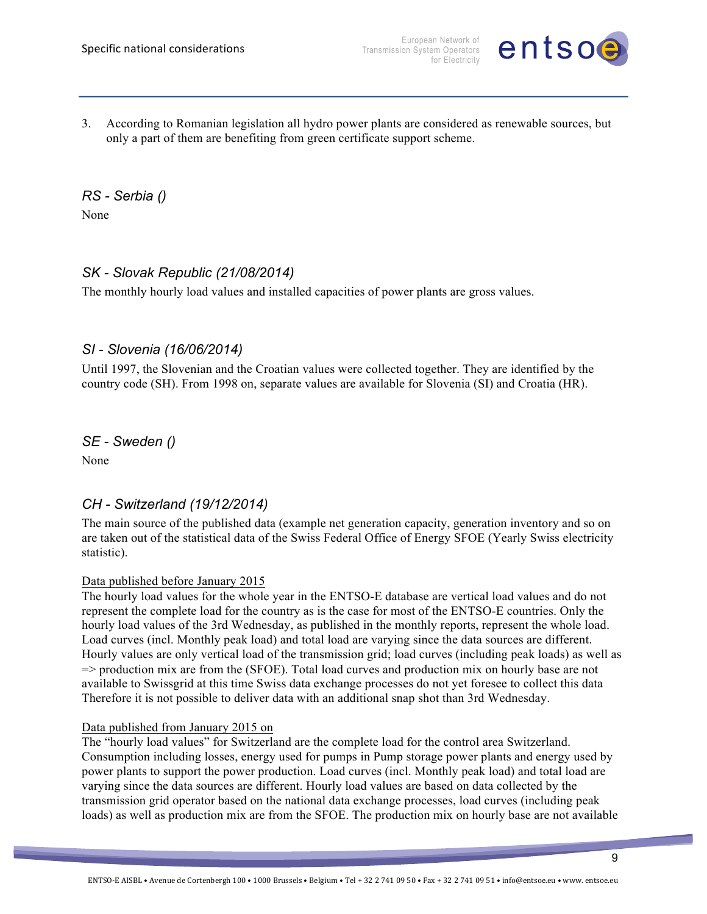

3. According to Romanian legislation all hydro power plants are considered as renewable sources, but only a part of them are benefiting from green certificate support scheme.

*RS - Serbia ()*

None

#### *SK - Slovak Republic (21/08/2014)*

The monthly hourly load values and installed capacities of power plants are gross values.

#### *SI - Slovenia (16/06/2014)*

Until 1997, the Slovenian and the Croatian values were collected together. They are identified by the country code (SH). From 1998 on, separate values are available for Slovenia (SI) and Croatia (HR).

*SE - Sweden ()*

None

#### *CH - Switzerland (19/12/2014)*

The main source of the published data (example net generation capacity, generation inventory and so on are taken out of the statistical data of the Swiss Federal Office of Energy SFOE (Yearly Swiss electricity statistic).

#### Data published before January 2015

The hourly load values for the whole year in the ENTSO-E database are vertical load values and do not represent the complete load for the country as is the case for most of the ENTSO-E countries. Only the hourly load values of the 3rd Wednesday, as published in the monthly reports, represent the whole load. Load curves (incl. Monthly peak load) and total load are varying since the data sources are different. Hourly values are only vertical load of the transmission grid; load curves (including peak loads) as well as => production mix are from the (SFOE). Total load curves and production mix on hourly base are not available to Swissgrid at this time Swiss data exchange processes do not yet foresee to collect this data Therefore it is not possible to deliver data with an additional snap shot than 3rd Wednesday.

#### Data published from January 2015 on

The "hourly load values" for Switzerland are the complete load for the control area Switzerland. Consumption including losses, energy used for pumps in Pump storage power plants and energy used by power plants to support the power production. Load curves (incl. Monthly peak load) and total load are varying since the data sources are different. Hourly load values are based on data collected by the transmission grid operator based on the national data exchange processes, load curves (including peak loads) as well as production mix are from the SFOE. The production mix on hourly base are not available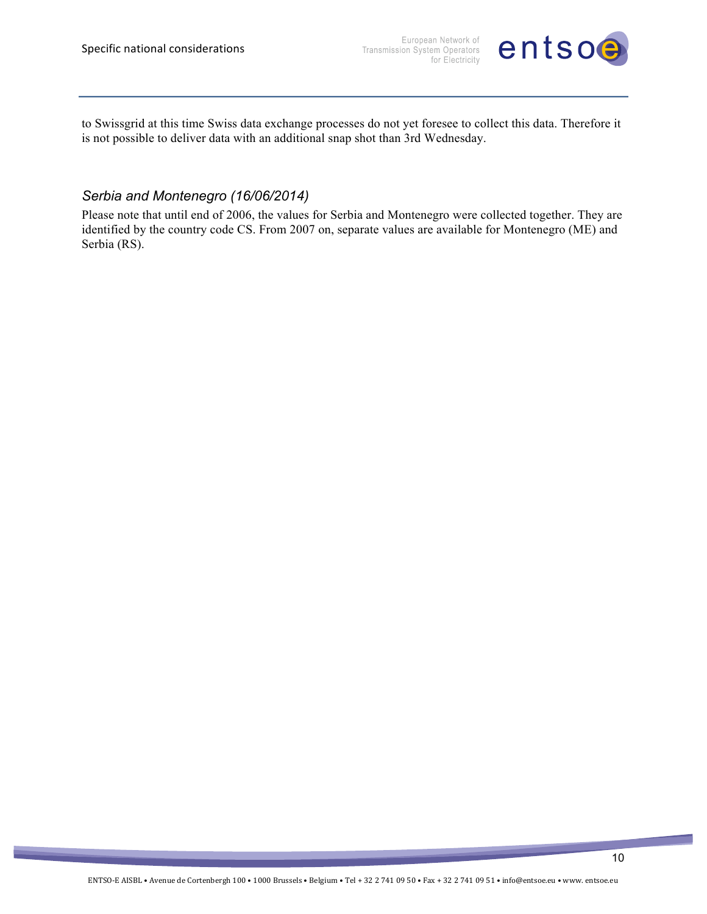

to Swissgrid at this time Swiss data exchange processes do not yet foresee to collect this data. Therefore it is not possible to deliver data with an additional snap shot than 3rd Wednesday.

#### *Serbia and Montenegro (16/06/2014)*

Please note that until end of 2006, the values for Serbia and Montenegro were collected together. They are identified by the country code CS. From 2007 on, separate values are available for Montenegro (ME) and Serbia (RS).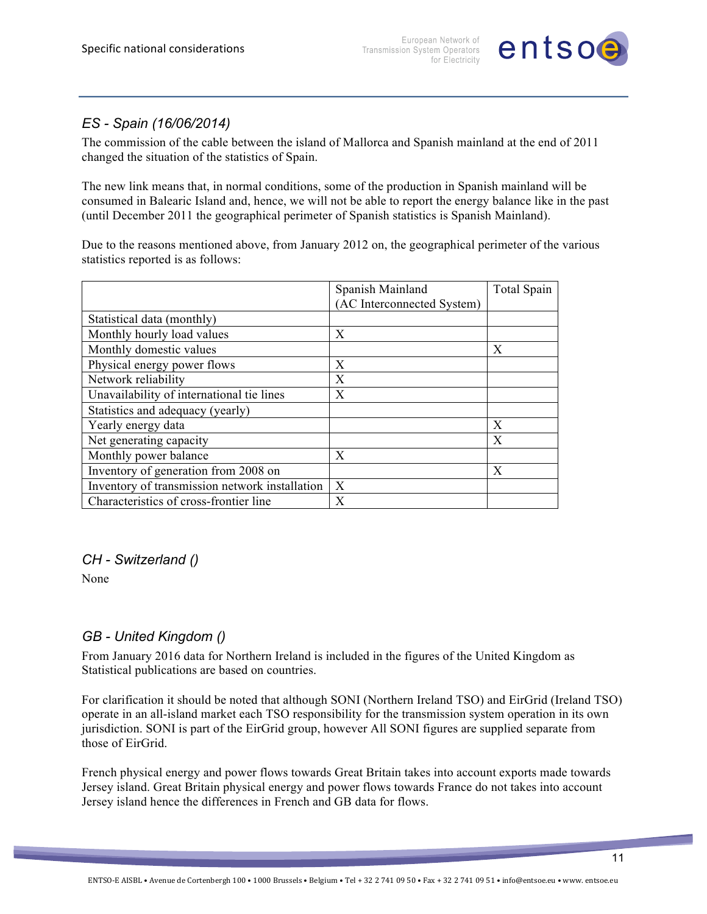

#### *ES - Spain (16/06/2014)*

The commission of the cable between the island of Mallorca and Spanish mainland at the end of 2011 changed the situation of the statistics of Spain.

The new link means that, in normal conditions, some of the production in Spanish mainland will be consumed in Balearic Island and, hence, we will not be able to report the energy balance like in the past (until December 2011 the geographical perimeter of Spanish statistics is Spanish Mainland).

Due to the reasons mentioned above, from January 2012 on, the geographical perimeter of the various statistics reported is as follows:

|                                                | Spanish Mainland           | <b>Total Spain</b> |
|------------------------------------------------|----------------------------|--------------------|
|                                                | (AC Interconnected System) |                    |
| Statistical data (monthly)                     |                            |                    |
| Monthly hourly load values                     | Х                          |                    |
| Monthly domestic values                        |                            | X                  |
| Physical energy power flows                    | Х                          |                    |
| Network reliability                            | X                          |                    |
| Unavailability of international tie lines      | Х                          |                    |
| Statistics and adequacy (yearly)               |                            |                    |
| Yearly energy data                             |                            | X                  |
| Net generating capacity                        |                            | X                  |
| Monthly power balance                          | X                          |                    |
| Inventory of generation from 2008 on           |                            | X                  |
| Inventory of transmission network installation | X                          |                    |
| Characteristics of cross-frontier line         | X                          |                    |

#### *CH - Switzerland ()*

None

#### *GB - United Kingdom ()*

From January 2016 data for Northern Ireland is included in the figures of the United Kingdom as Statistical publications are based on countries.

For clarification it should be noted that although SONI (Northern Ireland TSO) and EirGrid (Ireland TSO) operate in an all-island market each TSO responsibility for the transmission system operation in its own jurisdiction. SONI is part of the EirGrid group, however All SONI figures are supplied separate from those of EirGrid.

French physical energy and power flows towards Great Britain takes into account exports made towards Jersey island. Great Britain physical energy and power flows towards France do not takes into account Jersey island hence the differences in French and GB data for flows.